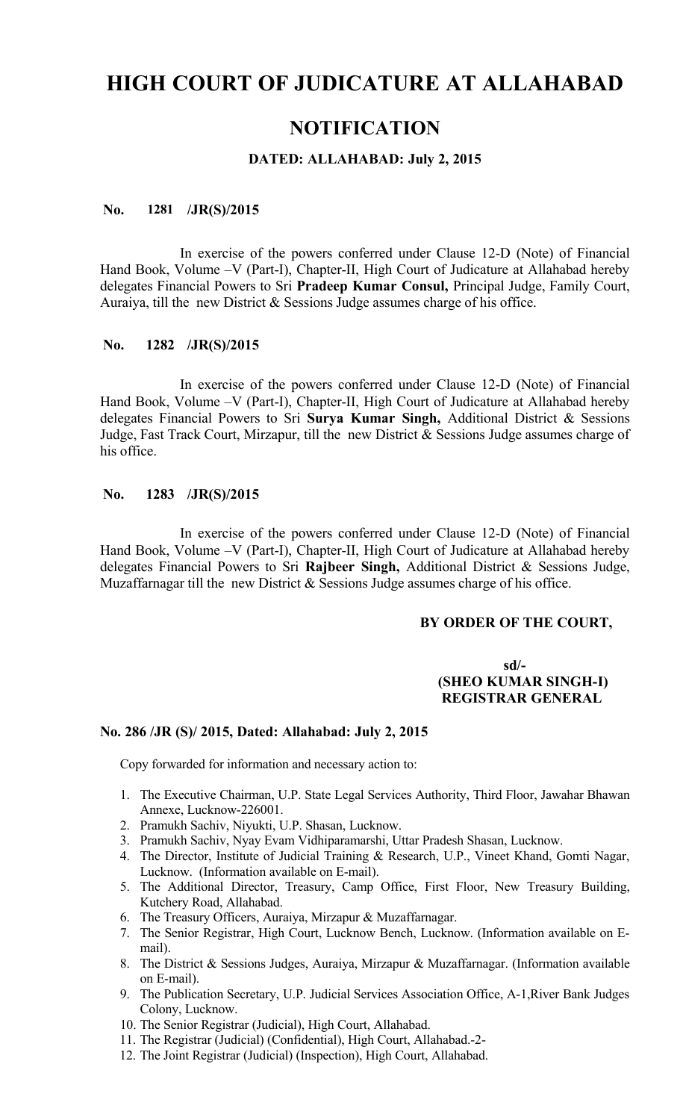# **HIGH COURT OF JUDICATURE AT ALLAHABAD**

# **NOTIFICATION**

## **DATED: ALLAHABAD: July 2, 2015**

#### **No. 1281 /JR(S)/2015**

In exercise of the powers conferred under Clause 12-D (Note) of Financial Hand Book, Volume –V (Part-I), Chapter-II, High Court of Judicature at Allahabad hereby delegates Financial Powers to Sri **Pradeep Kumar Consul,** Principal Judge, Family Court, Auraiya, till the new District & Sessions Judge assumes charge of his office.

#### **No. 1282 /JR(S)/2015**

In exercise of the powers conferred under Clause 12-D (Note) of Financial Hand Book, Volume –V (Part-I), Chapter-II, High Court of Judicature at Allahabad hereby delegates Financial Powers to Sri **Surya Kumar Singh,** Additional District & Sessions Judge, Fast Track Court, Mirzapur, till the new District & Sessions Judge assumes charge of his office.

#### **No. 1283 /JR(S)/2015**

In exercise of the powers conferred under Clause 12-D (Note) of Financial Hand Book, Volume –V (Part-I), Chapter-II, High Court of Judicature at Allahabad hereby delegates Financial Powers to Sri **Rajbeer Singh,** Additional District & Sessions Judge, Muzaffarnagar till the new District & Sessions Judge assumes charge of his office.

#### **BY ORDER OF THE COURT,**

# **sd/- (SHEO KUMAR SINGH-I) REGISTRAR GENERAL**

#### **No. 286 /JR (S)/ 2015, Dated: Allahabad: July 2, 2015**

Copy forwarded for information and necessary action to:

- 1. The Executive Chairman, U.P. State Legal Services Authority, Third Floor, Jawahar Bhawan Annexe, Lucknow-226001.
- 2. Pramukh Sachiv, Niyukti, U.P. Shasan, Lucknow.
- 3. Pramukh Sachiv, Nyay Evam Vidhiparamarshi, Uttar Pradesh Shasan, Lucknow.
- 4. The Director, Institute of Judicial Training & Research, U.P., Vineet Khand, Gomti Nagar, Lucknow. (Information available on E-mail).
- 5. The Additional Director, Treasury, Camp Office, First Floor, New Treasury Building, Kutchery Road, Allahabad.
- 6. The Treasury Officers, Auraiya, Mirzapur & Muzaffarnagar.
- 7. The Senior Registrar, High Court, Lucknow Bench, Lucknow. (Information available on Email).
- 8. The District & Sessions Judges, Auraiya, Mirzapur & Muzaffarnagar. (Information available on E-mail).
- 9. The Publication Secretary, U.P. Judicial Services Association Office, A-1,River Bank Judges Colony, Lucknow.
- 10. The Senior Registrar (Judicial), High Court, Allahabad.
- 11. The Registrar (Judicial) (Confidential), High Court, Allahabad.-2-
- 12. The Joint Registrar (Judicial) (Inspection), High Court, Allahabad.